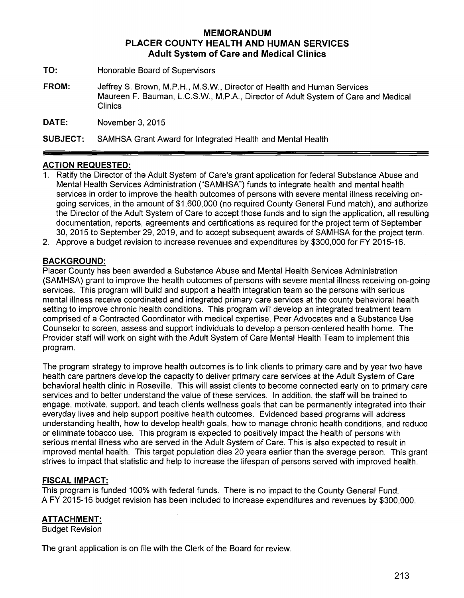# **MEMORANDUM PLACER COUNTY HEALTH AND HUMAN SERVICES Adult System of Care and Medical Clinics**

- **TO:** Honorable Board of Supervisors
- **FROM:** JeffreyS. Brown, M.P.H., M.S.W., Director of Health and Human Services Maureen F. Bauman, L.C.S.W., M.P.A., Director of Adult System of Care and Medical **Clinics**

**DATE:** November 3, 2015

**SUBJECT:** SAMHSA Grant Award for Integrated Health and Mental Health

# **ACTION REQUESTED:**

- 1. Ratify the Director of the Adult System of Care's grant application for federal Substance Abuse and Mental Health Services Administration ("SAMHSA") funds to integrate health and mental health services in order to improve the health outcomes of persons with severe mental illness receiving ongoing services, in the amount of \$1,600,000 (no required County General Fund match), and authorize the Director of the Adult System of Care to accept those funds and to sign the application, all resulting documentation, reports, agreements and certifications as required for the project term of September 30, 2015 to September 29, 2019, and to accept subsequent awards of SAMHSA for the project term.
- 2. Approve a budget revision to increase revenues and expenditures by \$300,000 for FY 2015-16.

### **BACKGROUND:**

Placer County has been awarded a Substance Abuse and Mental Health Services Administration (SAMHSA) grant to improve the health outcomes of persons with severe mental illness receiving on-going services. This program will build and support a health integration team so the persons with serious mental illness receive coordinated and integrated primary care services at the county behavioral health setting to improve chronic health conditions. This program will develop an integrated treatment team comprised of a Contracted Coordinator with medical expertise, Peer Advocates and a Substance Use Counselor to screen, assess and support individuals to develop a person-centered health home. The Provider staff will work on sight with the Adult System of Care Mental Health Team to implement this program.

The program strategy to improve health outcomes is to link clients to primary care and by year two have health care partners develop the capacity to deliver primary care services at the Adult System of Care behavioral health clinic in Roseville. This will assist clients to become connected early on to primary care services and to better understand the value of these services. In addition, the staff will be trained to engage, motivate, support, and teach clients wellness goals that can be permanently integrated into their everyday lives and help support positive health outcomes. Evidenced based programs will address understanding health, how to develop health goals, how to manage chronic health conditions, and reduce or eliminate tobacco use. This program is expected to positively impact the health of persons with serious mental illness who are served in the Adult System of Care. This is also expected to result in improved mental health. This target population dies 20 years earlier than the average person. This grant strives to impact that statistic and help to increase the lifespan of persons served with improved health.

### **FISCAL IMPACT:**

This program is funded 100% with federal funds. There is no impact to the County General Fund. A FY 2015-16 budget revision has been included to increase expenditures and revenues by \$300,000.

### **ATTACHMENT:**

Budget Revision

The grant application is on file with the Clerk of the Board for review.